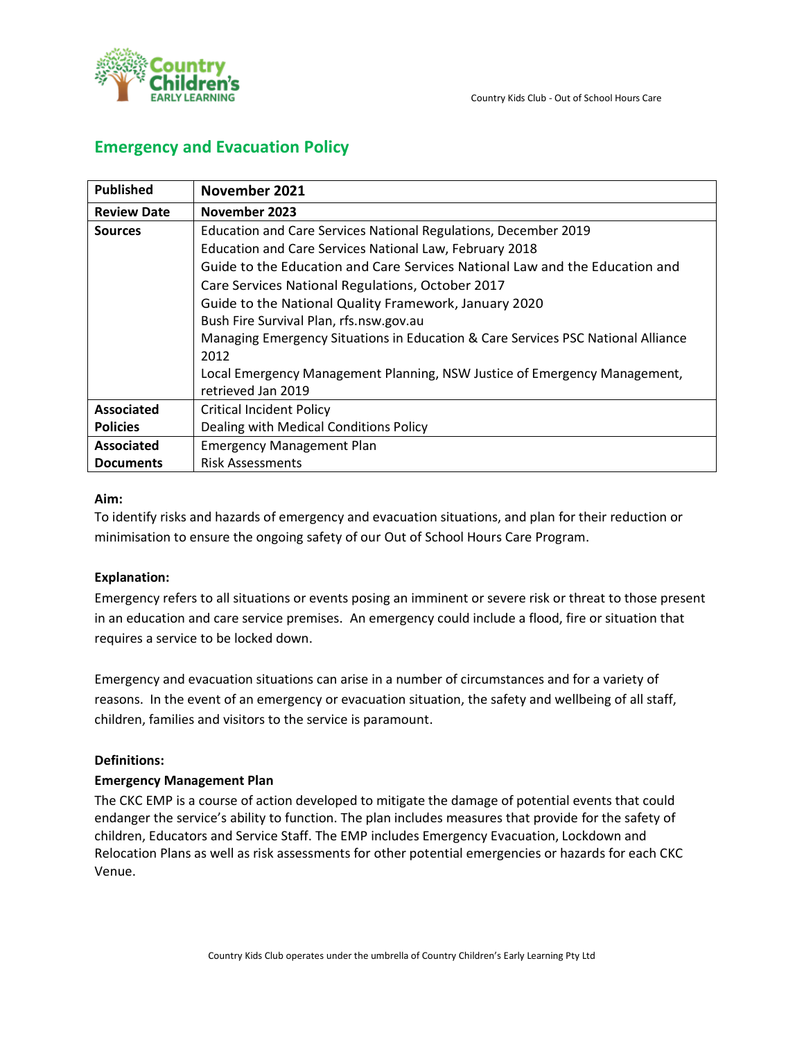

### **Emergency and Evacuation Policy**

| <b>Published</b>   | November 2021                                                                    |  |
|--------------------|----------------------------------------------------------------------------------|--|
| <b>Review Date</b> | November 2023                                                                    |  |
| <b>Sources</b>     | Education and Care Services National Regulations, December 2019                  |  |
|                    | Education and Care Services National Law, February 2018                          |  |
|                    | Guide to the Education and Care Services National Law and the Education and      |  |
|                    | Care Services National Regulations, October 2017                                 |  |
|                    | Guide to the National Quality Framework, January 2020                            |  |
|                    | Bush Fire Survival Plan, rfs.nsw.gov.au                                          |  |
|                    | Managing Emergency Situations in Education & Care Services PSC National Alliance |  |
|                    | 2012                                                                             |  |
|                    | Local Emergency Management Planning, NSW Justice of Emergency Management,        |  |
|                    | retrieved Jan 2019                                                               |  |
| <b>Associated</b>  | <b>Critical Incident Policy</b>                                                  |  |
| <b>Policies</b>    | Dealing with Medical Conditions Policy                                           |  |
| <b>Associated</b>  | <b>Emergency Management Plan</b>                                                 |  |
| <b>Documents</b>   | <b>Risk Assessments</b>                                                          |  |

#### **Aim:**

To identify risks and hazards of emergency and evacuation situations, and plan for their reduction or minimisation to ensure the ongoing safety of our Out of School Hours Care Program.

### **Explanation:**

Emergency refers to all situations or events posing an imminent or severe risk or threat to those present in an education and care service premises. An emergency could include a flood, fire or situation that requires a service to be locked down.

Emergency and evacuation situations can arise in a number of circumstances and for a variety of reasons. In the event of an emergency or evacuation situation, the safety and wellbeing of all staff, children, families and visitors to the service is paramount.

### **Definitions:**

### **Emergency Management Plan**

The CKC EMP is a course of action developed to mitigate the damage of potential events that could endanger the service's ability to function. The plan includes measures that provide for the safety of children, Educators and Service Staff. The EMP includes Emergency Evacuation, Lockdown and Relocation Plans as well as risk assessments for other potential emergencies or hazards for each CKC Venue.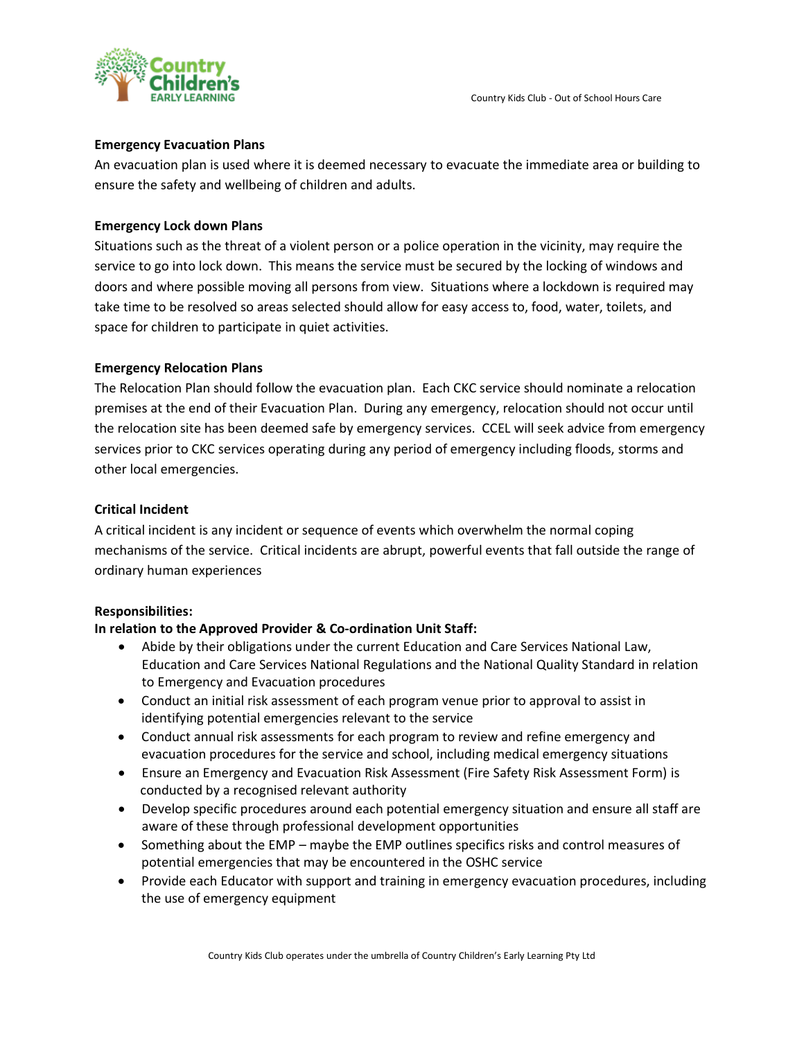

#### **Emergency Evacuation Plans**

An evacuation plan is used where it is deemed necessary to evacuate the immediate area or building to ensure the safety and wellbeing of children and adults.

#### **Emergency Lock down Plans**

Situations such as the threat of a violent person or a police operation in the vicinity, may require the service to go into lock down. This means the service must be secured by the locking of windows and doors and where possible moving all persons from view. Situations where a lockdown is required may take time to be resolved so areas selected should allow for easy access to, food, water, toilets, and space for children to participate in quiet activities.

#### **Emergency Relocation Plans**

The Relocation Plan should follow the evacuation plan. Each CKC service should nominate a relocation premises at the end of their Evacuation Plan. During any emergency, relocation should not occur until the relocation site has been deemed safe by emergency services. CCEL will seek advice from emergency services prior to CKC services operating during any period of emergency including floods, storms and other local emergencies.

#### **Critical Incident**

A critical incident is any incident or sequence of events which overwhelm the normal coping mechanisms of the service. Critical incidents are abrupt, powerful events that fall outside the range of ordinary human experiences

#### **Responsibilities:**

### **In relation to the Approved Provider & Co-ordination Unit Staff:**

- Abide by their obligations under the current Education and Care Services National Law, Education and Care Services National Regulations and the National Quality Standard in relation to Emergency and Evacuation procedures
- Conduct an initial risk assessment of each program venue prior to approval to assist in identifying potential emergencies relevant to the service
- Conduct annual risk assessments for each program to review and refine emergency and evacuation procedures for the service and school, including medical emergency situations
- Ensure an Emergency and Evacuation Risk Assessment (Fire Safety Risk Assessment Form) is conducted by a recognised relevant authority
- Develop specific procedures around each potential emergency situation and ensure all staff are aware of these through professional development opportunities
- Something about the EMP maybe the EMP outlines specifics risks and control measures of potential emergencies that may be encountered in the OSHC service
- Provide each Educator with support and training in emergency evacuation procedures, including the use of emergency equipment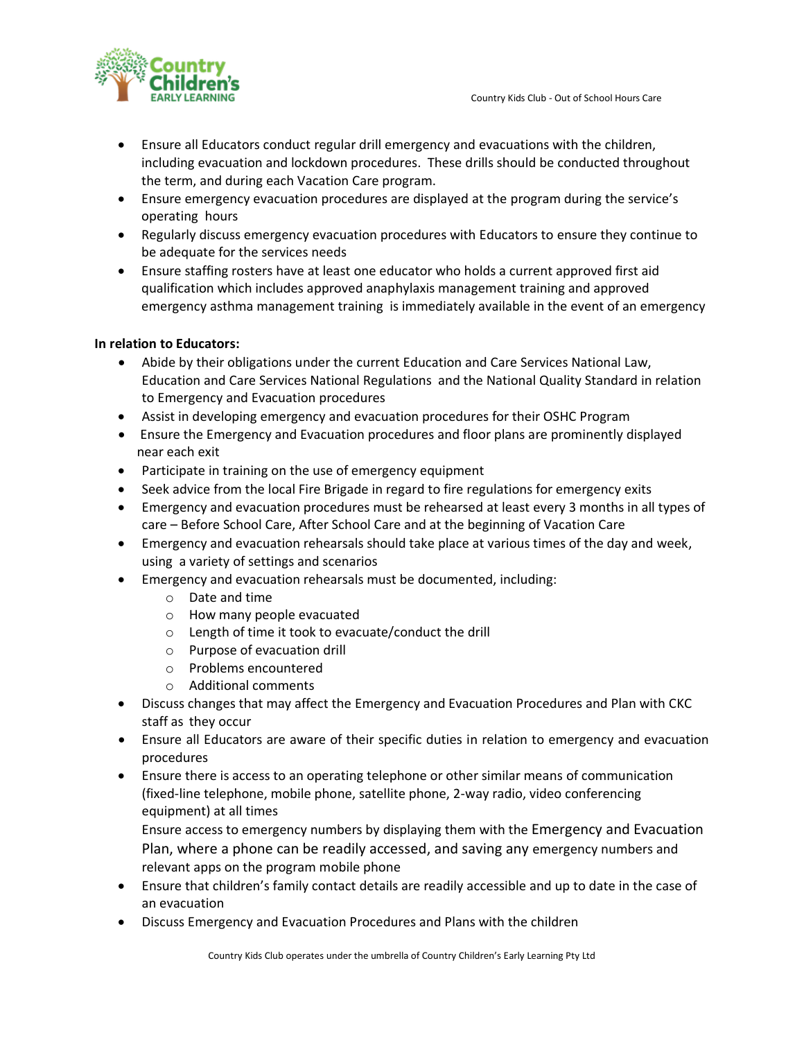

- Ensure all Educators conduct regular drill emergency and evacuations with the children, including evacuation and lockdown procedures. These drills should be conducted throughout the term, and during each Vacation Care program.
- Ensure emergency evacuation procedures are displayed at the program during the service's operating hours
- Regularly discuss emergency evacuation procedures with Educators to ensure they continue to be adequate for the services needs
- Ensure staffing rosters have at least one educator who holds a current approved first aid qualification which includes approved anaphylaxis management training and approved emergency asthma management training is immediately available in the event of an emergency

### **In relation to Educators:**

- Abide by their obligations under the current Education and Care Services National Law, Education and Care Services National Regulations and the National Quality Standard in relation to Emergency and Evacuation procedures
- Assist in developing emergency and evacuation procedures for their OSHC Program
- Ensure the Emergency and Evacuation procedures and floor plans are prominently displayed near each exit
- Participate in training on the use of emergency equipment
- Seek advice from the local Fire Brigade in regard to fire regulations for emergency exits
- Emergency and evacuation procedures must be rehearsed at least every 3 months in all types of care – Before School Care, After School Care and at the beginning of Vacation Care
- Emergency and evacuation rehearsals should take place at various times of the day and week, using a variety of settings and scenarios
- Emergency and evacuation rehearsals must be documented, including:
	- o Date and time
	- o How many people evacuated
	- o Length of time it took to evacuate/conduct the drill
	- o Purpose of evacuation drill
	- o Problems encountered
	- o Additional comments
- Discuss changes that may affect the Emergency and Evacuation Procedures and Plan with CKC staff as they occur
- Ensure all Educators are aware of their specific duties in relation to emergency and evacuation procedures
- Ensure there is access to an operating telephone or other similar means of communication (fixed-line telephone, mobile phone, satellite phone, 2-way radio, video conferencing equipment) at all times

Ensure access to emergency numbers by displaying them with the Emergency and Evacuation Plan, where a phone can be readily accessed, and saving any emergency numbers and relevant apps on the program mobile phone

- Ensure that children's family contact details are readily accessible and up to date in the case of an evacuation
- Discuss Emergency and Evacuation Procedures and Plans with the children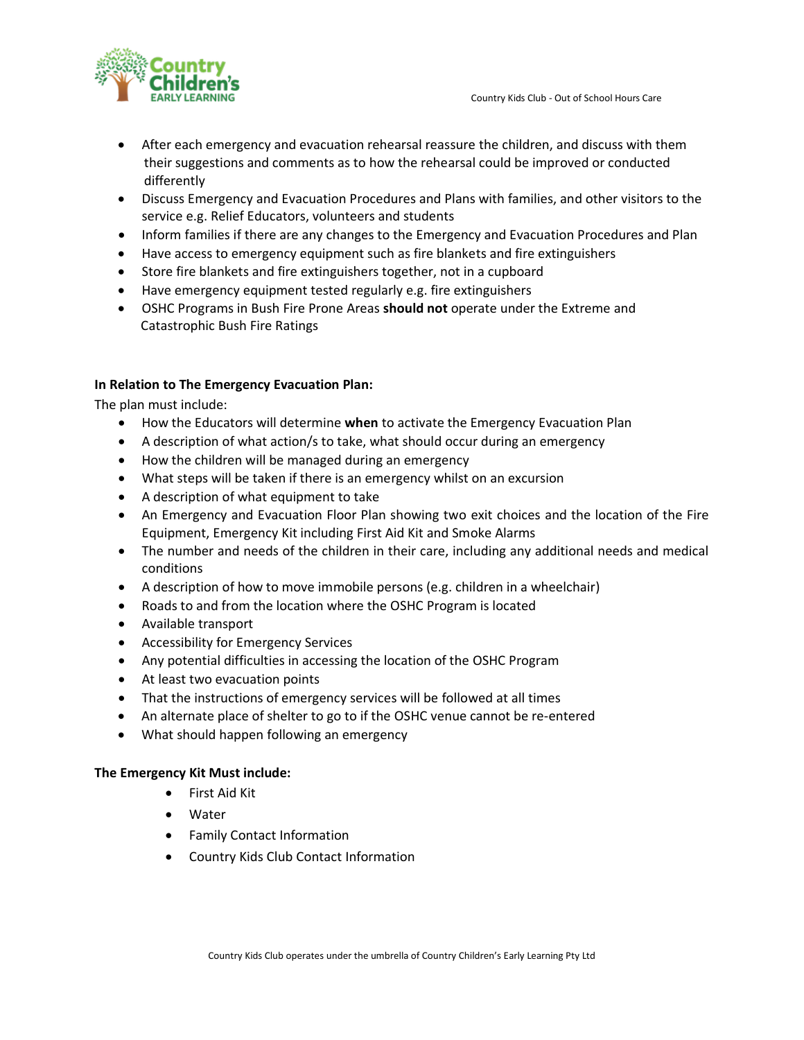

- After each emergency and evacuation rehearsal reassure the children, and discuss with them their suggestions and comments as to how the rehearsal could be improved or conducted differently
- Discuss Emergency and Evacuation Procedures and Plans with families, and other visitors to the service e.g. Relief Educators, volunteers and students
- Inform families if there are any changes to the Emergency and Evacuation Procedures and Plan
- Have access to emergency equipment such as fire blankets and fire extinguishers
- Store fire blankets and fire extinguishers together, not in a cupboard
- Have emergency equipment tested regularly e.g. fire extinguishers
- OSHC Programs in Bush Fire Prone Areas **should not** operate under the Extreme and Catastrophic Bush Fire Ratings

#### **In Relation to The Emergency Evacuation Plan:**

The plan must include:

- How the Educators will determine **when** to activate the Emergency Evacuation Plan
- A description of what action/s to take, what should occur during an emergency
- How the children will be managed during an emergency
- What steps will be taken if there is an emergency whilst on an excursion
- A description of what equipment to take
- An Emergency and Evacuation Floor Plan showing two exit choices and the location of the Fire Equipment, Emergency Kit including First Aid Kit and Smoke Alarms
- The number and needs of the children in their care, including any additional needs and medical conditions
- A description of how to move immobile persons (e.g. children in a wheelchair)
- Roads to and from the location where the OSHC Program is located
- Available transport
- Accessibility for Emergency Services
- Any potential difficulties in accessing the location of the OSHC Program
- At least two evacuation points
- That the instructions of emergency services will be followed at all times
- An alternate place of shelter to go to if the OSHC venue cannot be re-entered
- What should happen following an emergency

### **The Emergency Kit Must include:**

- First Aid Kit
- Water
- Family Contact Information
- Country Kids Club Contact Information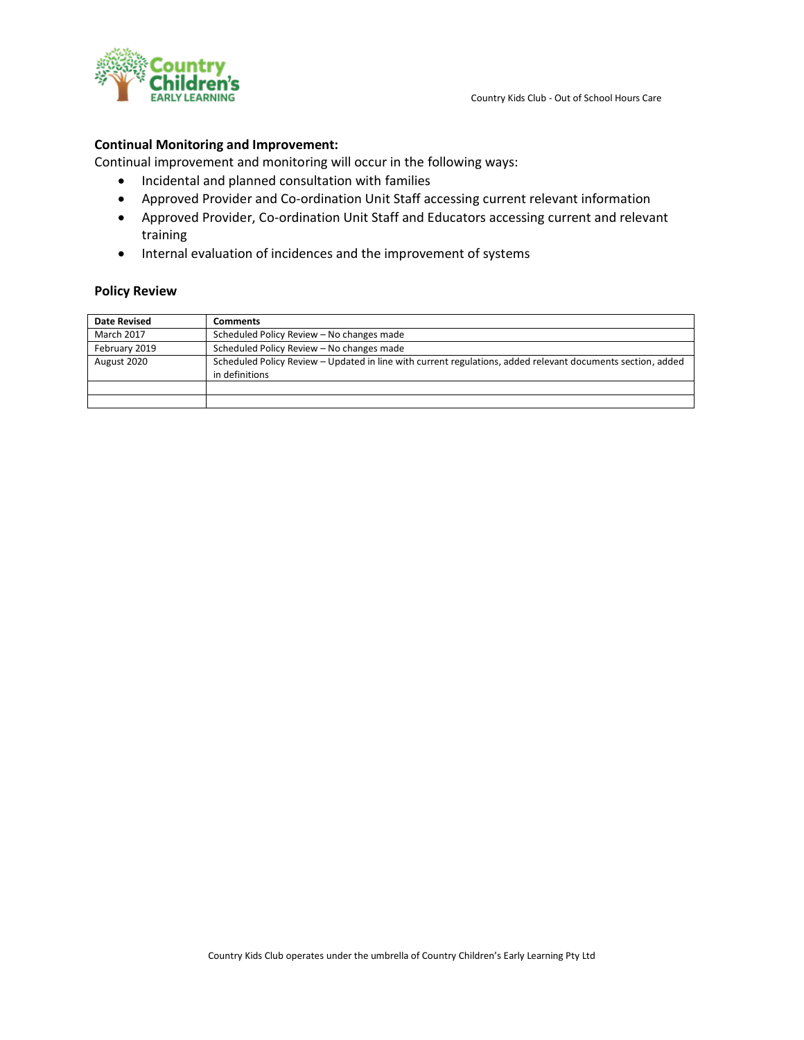

#### **Continual Monitoring and Improvement:**

Continual improvement and monitoring will occur in the following ways:

- Incidental and planned consultation with families
- Approved Provider and Co-ordination Unit Staff accessing current relevant information
- Approved Provider, Co-ordination Unit Staff and Educators accessing current and relevant training
- Internal evaluation of incidences and the improvement of systems

#### **Policy Review**

| <b>Date Revised</b> | Comments                                                                                                                      |  |
|---------------------|-------------------------------------------------------------------------------------------------------------------------------|--|
| <b>March 2017</b>   | Scheduled Policy Review - No changes made                                                                                     |  |
| February 2019       | Scheduled Policy Review - No changes made                                                                                     |  |
| August 2020         | Scheduled Policy Review – Updated in line with current regulations, added relevant documents section, added<br>in definitions |  |
|                     |                                                                                                                               |  |
|                     |                                                                                                                               |  |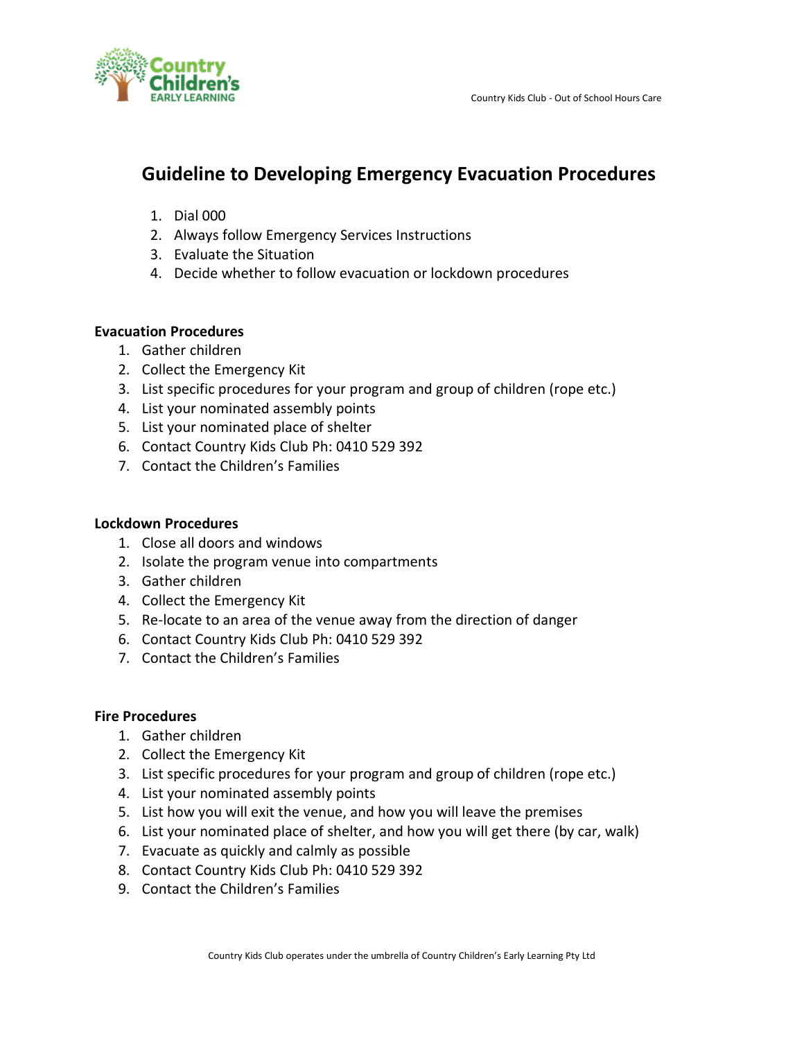

## **Guideline to Developing Emergency Evacuation Procedures**

- 1. Dial 000
- 2. Always follow Emergency Services Instructions
- 3. Evaluate the Situation
- 4. Decide whether to follow evacuation or lockdown procedures

### **Evacuation Procedures**

- 1. Gather children
- 2. Collect the Emergency Kit
- 3. List specific procedures for your program and group of children (rope etc.)
- 4. List your nominated assembly points
- 5. List your nominated place of shelter
- 6. Contact Country Kids Club Ph: 0410 529 392
- 7. Contact the Children's Families

### **Lockdown Procedures**

- 1. Close all doors and windows
- 2. Isolate the program venue into compartments
- 3. Gather children
- 4. Collect the Emergency Kit
- 5. Re-locate to an area of the venue away from the direction of danger
- 6. Contact Country Kids Club Ph: 0410 529 392
- 7. Contact the Children's Families

### **Fire Procedures**

- 1. Gather children
- 2. Collect the Emergency Kit
- 3. List specific procedures for your program and group of children (rope etc.)
- 4. List your nominated assembly points
- 5. List how you will exit the venue, and how you will leave the premises
- 6. List your nominated place of shelter, and how you will get there (by car, walk)
- 7. Evacuate as quickly and calmly as possible
- 8. Contact Country Kids Club Ph: 0410 529 392
- 9. Contact the Children's Families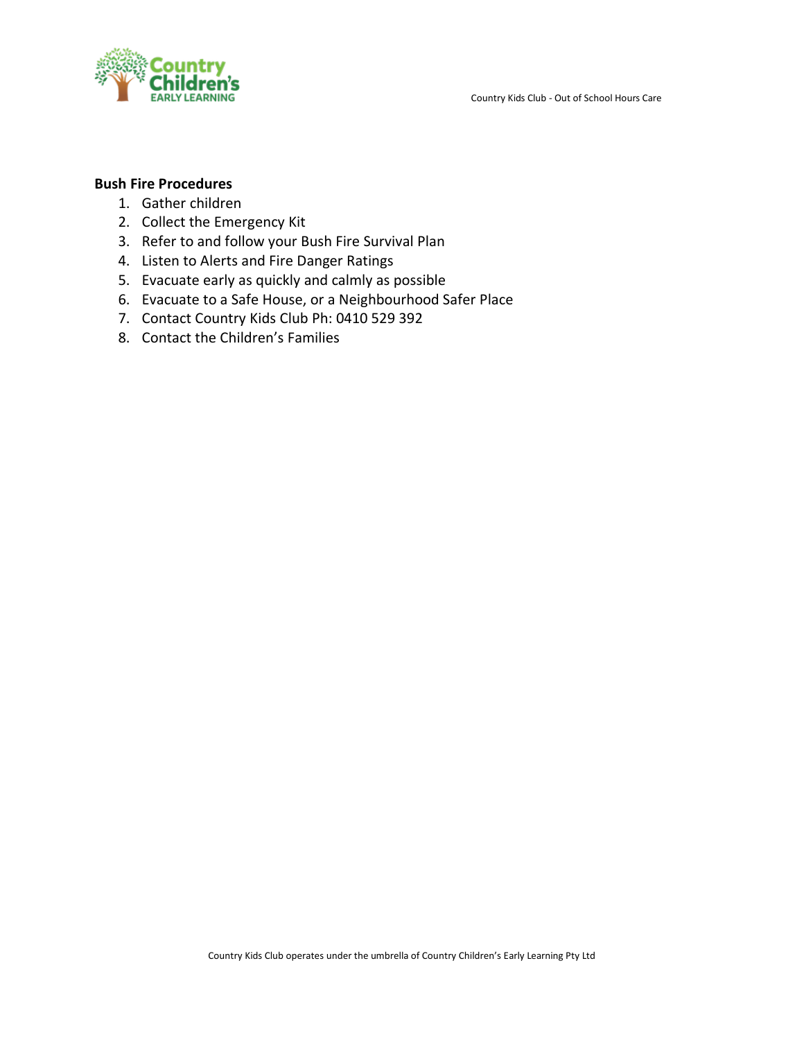



### **Bush Fire Procedures**

- 1. Gather children
- 2. Collect the Emergency Kit
- 3. Refer to and follow your Bush Fire Survival Plan
- 4. Listen to Alerts and Fire Danger Ratings
- 5. Evacuate early as quickly and calmly as possible
- 6. Evacuate to a Safe House, or a Neighbourhood Safer Place
- 7. Contact Country Kids Club Ph: 0410 529 392
- 8. Contact the Children's Families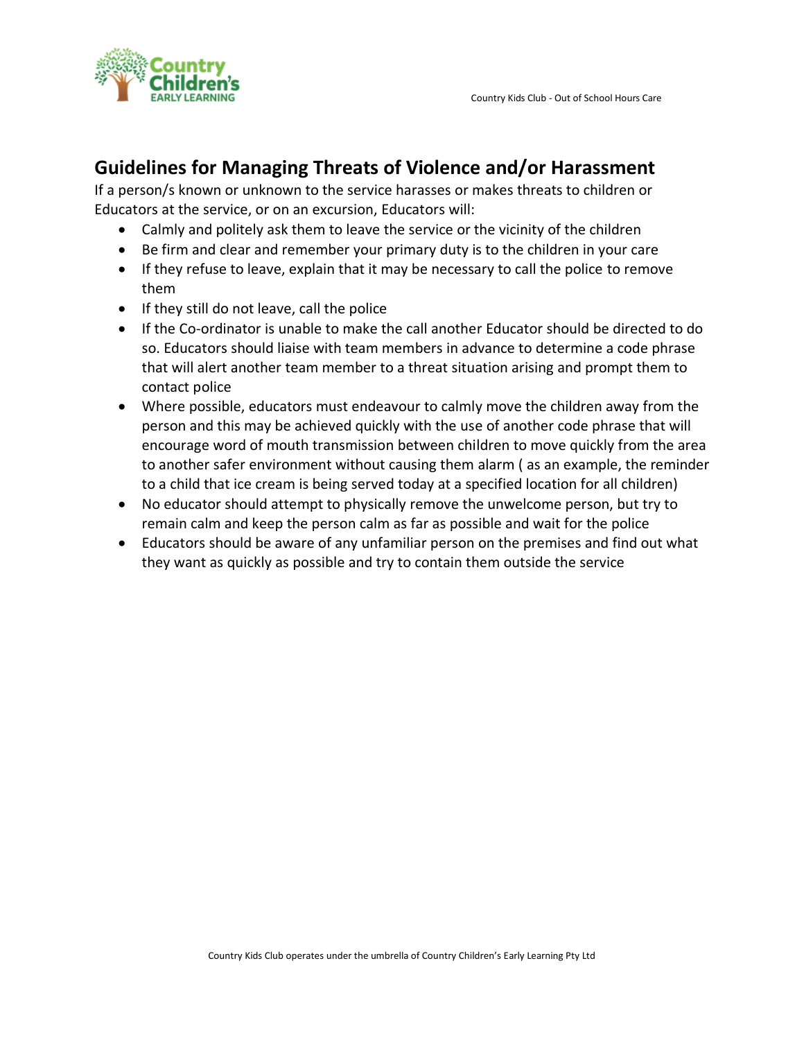

### **Guidelines for Managing Threats of Violence and/or Harassment**

If a person/s known or unknown to the service harasses or makes threats to children or Educators at the service, or on an excursion, Educators will:

- Calmly and politely ask them to leave the service or the vicinity of the children
- Be firm and clear and remember your primary duty is to the children in your care
- If they refuse to leave, explain that it may be necessary to call the police to remove them
- If they still do not leave, call the police
- If the Co-ordinator is unable to make the call another Educator should be directed to do so. Educators should liaise with team members in advance to determine a code phrase that will alert another team member to a threat situation arising and prompt them to contact police
- Where possible, educators must endeavour to calmly move the children away from the person and this may be achieved quickly with the use of another code phrase that will encourage word of mouth transmission between children to move quickly from the area to another safer environment without causing them alarm ( as an example, the reminder to a child that ice cream is being served today at a specified location for all children)
- No educator should attempt to physically remove the unwelcome person, but try to remain calm and keep the person calm as far as possible and wait for the police
- Educators should be aware of any unfamiliar person on the premises and find out what they want as quickly as possible and try to contain them outside the service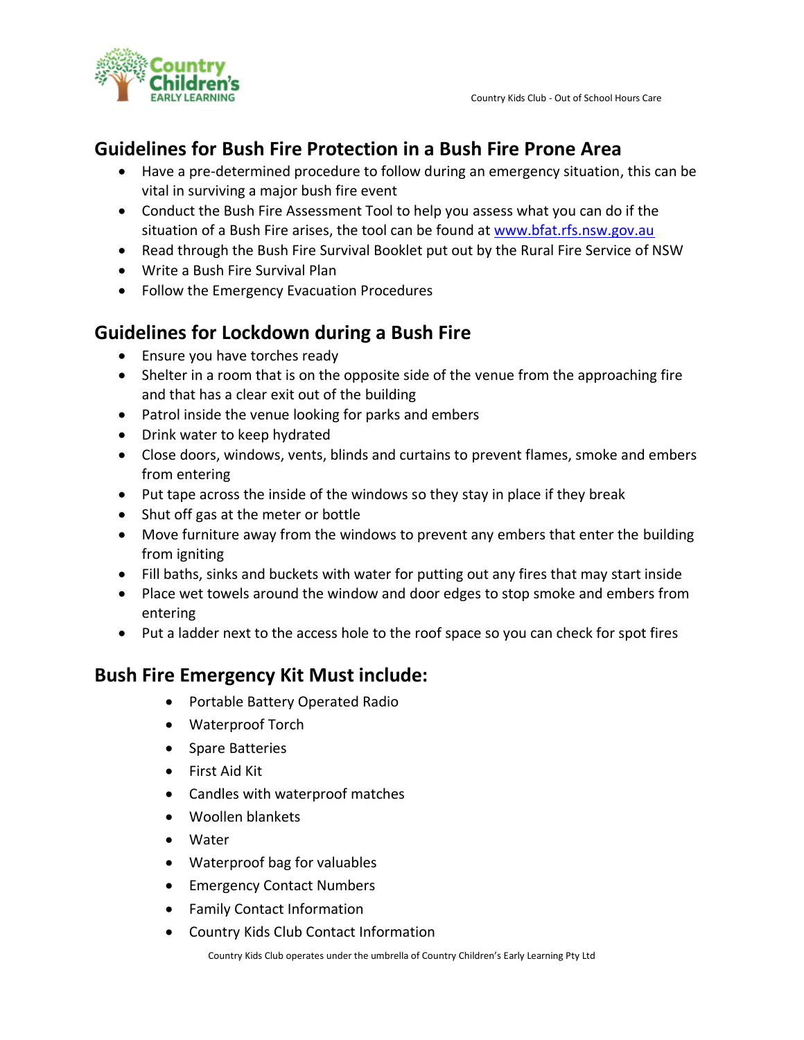

### **Guidelines for Bush Fire Protection in a Bush Fire Prone Area**

- Have a pre-determined procedure to follow during an emergency situation, this can be vital in surviving a major bush fire event
- Conduct the Bush Fire Assessment Tool to help you assess what you can do if the situation of a Bush Fire arises, the tool can be found at [www.bfat.rfs.nsw.gov.au](http://www.bfat.rfs.nsw.gov.au/)
- Read through the Bush Fire Survival Booklet put out by the Rural Fire Service of NSW
- Write a Bush Fire Survival Plan
- Follow the Emergency Evacuation Procedures

## **Guidelines for Lockdown during a Bush Fire**

- Ensure you have torches ready
- Shelter in a room that is on the opposite side of the venue from the approaching fire and that has a clear exit out of the building
- Patrol inside the venue looking for parks and embers
- Drink water to keep hydrated
- Close doors, windows, vents, blinds and curtains to prevent flames, smoke and embers from entering
- Put tape across the inside of the windows so they stay in place if they break
- Shut off gas at the meter or bottle
- Move furniture away from the windows to prevent any embers that enter the building from igniting
- Fill baths, sinks and buckets with water for putting out any fires that may start inside
- Place wet towels around the window and door edges to stop smoke and embers from entering
- Put a ladder next to the access hole to the roof space so you can check for spot fires

## **Bush Fire Emergency Kit Must include:**

- Portable Battery Operated Radio
- Waterproof Torch
- Spare Batteries
- First Aid Kit
- Candles with waterproof matches
- Woollen blankets
- Water
- Waterproof bag for valuables
- Emergency Contact Numbers
- Family Contact Information
- Country Kids Club Contact Information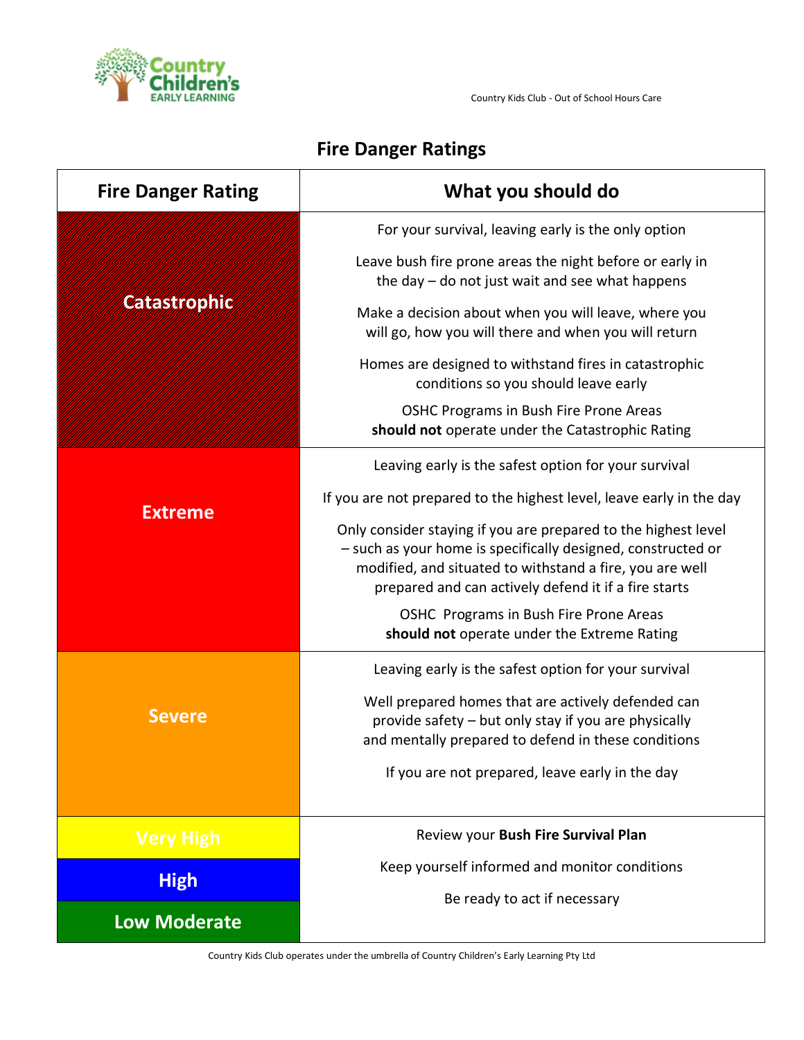

# **Fire Danger Ratings**

| <b>Fire Danger Rating</b> | What you should do                                                                                                                                                                                                                                 |
|---------------------------|----------------------------------------------------------------------------------------------------------------------------------------------------------------------------------------------------------------------------------------------------|
|                           | For your survival, leaving early is the only option                                                                                                                                                                                                |
|                           | Leave bush fire prone areas the night before or early in<br>the day - do not just wait and see what happens                                                                                                                                        |
| Catastrophic              | Make a decision about when you will leave, where you<br>will go, how you will there and when you will return                                                                                                                                       |
|                           | Homes are designed to withstand fires in catastrophic<br>conditions so you should leave early                                                                                                                                                      |
|                           | OSHC Programs in Bush Fire Prone Areas<br>should not operate under the Catastrophic Rating                                                                                                                                                         |
|                           | Leaving early is the safest option for your survival                                                                                                                                                                                               |
| <b>Extreme</b>            | If you are not prepared to the highest level, leave early in the day                                                                                                                                                                               |
|                           | Only consider staying if you are prepared to the highest level<br>- such as your home is specifically designed, constructed or<br>modified, and situated to withstand a fire, you are well<br>prepared and can actively defend it if a fire starts |
|                           | OSHC Programs in Bush Fire Prone Areas<br>should not operate under the Extreme Rating                                                                                                                                                              |
|                           | Leaving early is the safest option for your survival                                                                                                                                                                                               |
| <b>Severe</b>             | Well prepared homes that are actively defended can<br>provide safety - but only stay if you are physically<br>and mentally prepared to defend in these conditions<br>If you are not prepared, leave early in the day                               |
|                           |                                                                                                                                                                                                                                                    |
| <b>Very High</b>          | Review your Bush Fire Survival Plan                                                                                                                                                                                                                |
| <b>High</b>               | Keep yourself informed and monitor conditions                                                                                                                                                                                                      |
| <b>Low Moderate</b>       | Be ready to act if necessary                                                                                                                                                                                                                       |
|                           |                                                                                                                                                                                                                                                    |

Country Kids Club operates under the umbrella of Country Children's Early Learning Pty Ltd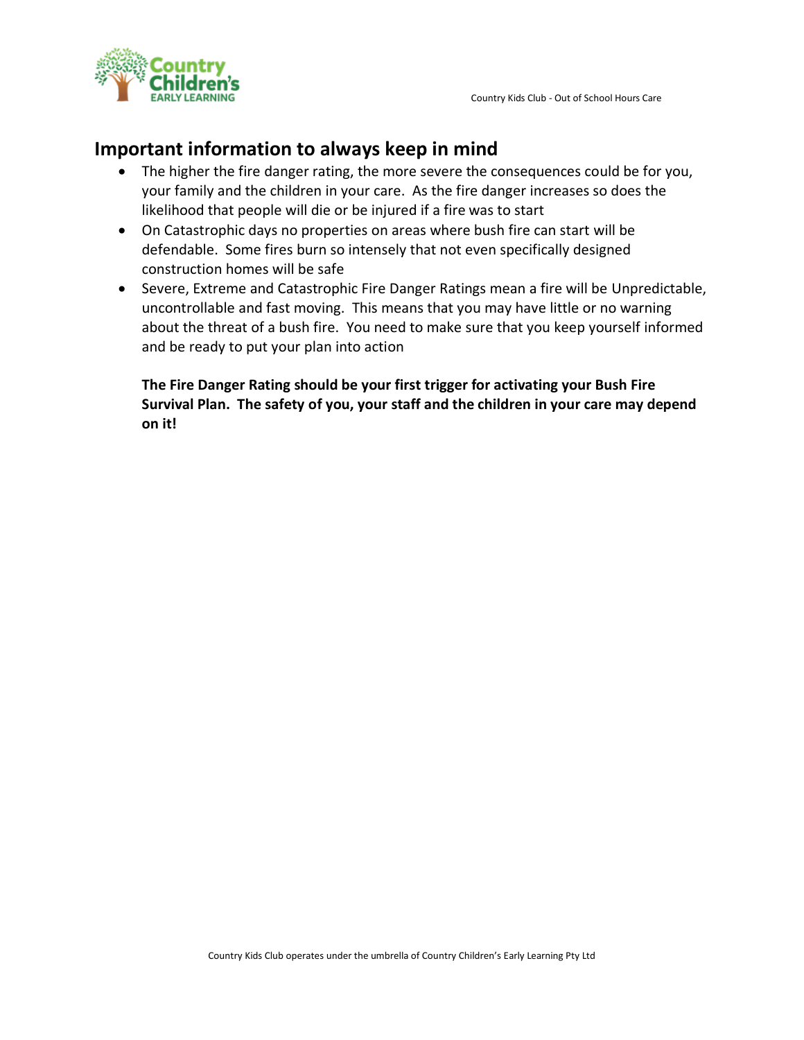



### **Important information to always keep in mind**

- The higher the fire danger rating, the more severe the consequences could be for you, your family and the children in your care. As the fire danger increases so does the likelihood that people will die or be injured if a fire was to start
- On Catastrophic days no properties on areas where bush fire can start will be defendable. Some fires burn so intensely that not even specifically designed construction homes will be safe
- Severe, Extreme and Catastrophic Fire Danger Ratings mean a fire will be Unpredictable, uncontrollable and fast moving. This means that you may have little or no warning about the threat of a bush fire. You need to make sure that you keep yourself informed and be ready to put your plan into action

**The Fire Danger Rating should be your first trigger for activating your Bush Fire Survival Plan. The safety of you, your staff and the children in your care may depend on it!**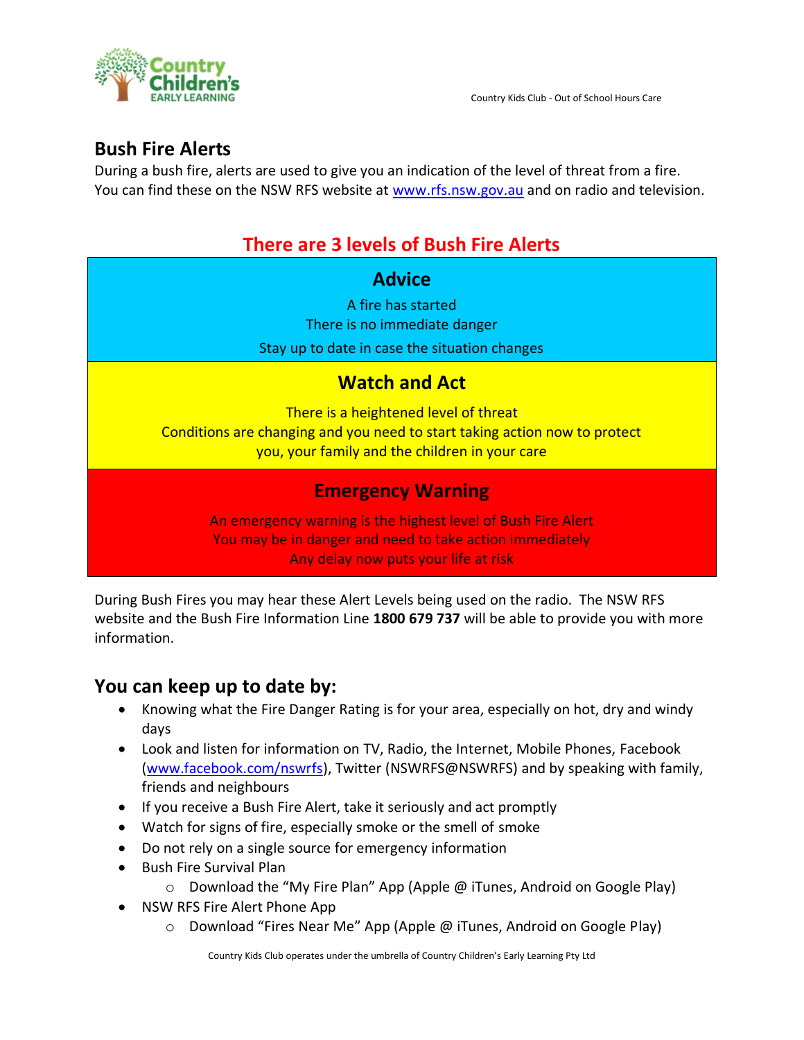

## **Bush Fire Alerts**

During a bush fire, alerts are used to give you an indication of the level of threat from a fire. You can find these on the NSW RFS website at [www.rfs.nsw.gov.au](http://www.rfs.nsw.gov.au/) and on radio and television.

# **There are 3 levels of Bush Fire Alerts**

### **Advice**

A fire has started There is no immediate danger

Stay up to date in case the situation changes

## **Watch and Act**

There is a heightened level of threat Conditions are changing and you need to start taking action now to protect you, your family and the children in your care

## **Emergency Warning**

An emergency warning is the highest level of Bush Fire Alert You may be in danger and need to take action immediately Any delay now puts your life at risk

During Bush Fires you may hear these Alert Levels being used on the radio. The NSW RFS website and the Bush Fire Information Line **1800 679 737** will be able to provide you with more information.

## **You can keep up to date by:**

- Knowing what the Fire Danger Rating is for your area, especially on hot, dry and windy days
- Look and listen for information on TV, Radio, the Internet, Mobile Phones, Facebook [\(www.facebook.com/nswrfs\)](http://www.facebook.com/nswrfs), Twitter (NSWRFS@NSWRFS) and by speaking with family, friends and neighbours
- If you receive a Bush Fire Alert, take it seriously and act promptly
- Watch for signs of fire, especially smoke or the smell of smoke
- Do not rely on a single source for emergency information
- Bush Fire Survival Plan
	- o Download the "My Fire Plan" App (Apple @ iTunes, Android on Google Play)
- NSW RFS Fire Alert Phone App
	- o Download "Fires Near Me" App (Apple @ iTunes, Android on Google Play)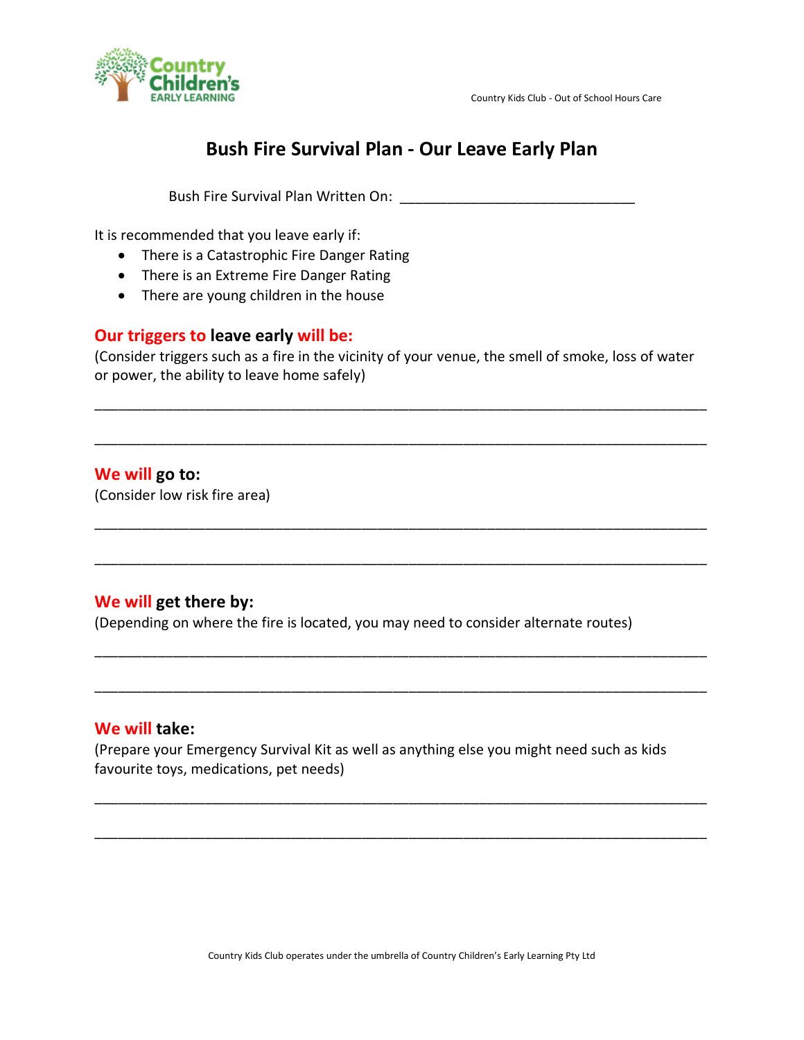



## **Bush Fire Survival Plan - Our Leave Early Plan**

Bush Fire Survival Plan Written On: **William Strates and Strates and Strates** 

It is recommended that you leave early if:

- There is a Catastrophic Fire Danger Rating
- There is an Extreme Fire Danger Rating
- There are young children in the house

### **Our triggers to leave early will be:**

(Consider triggers such as a fire in the vicinity of your venue, the smell of smoke, loss of water or power, the ability to leave home safely)

\_\_\_\_\_\_\_\_\_\_\_\_\_\_\_\_\_\_\_\_\_\_\_\_\_\_\_\_\_\_\_\_\_\_\_\_\_\_\_\_\_\_\_\_\_\_\_\_\_\_\_\_\_\_\_\_\_\_\_\_\_\_\_\_\_\_\_\_\_\_\_\_\_\_\_\_\_\_

\_\_\_\_\_\_\_\_\_\_\_\_\_\_\_\_\_\_\_\_\_\_\_\_\_\_\_\_\_\_\_\_\_\_\_\_\_\_\_\_\_\_\_\_\_\_\_\_\_\_\_\_\_\_\_\_\_\_\_\_\_\_\_\_\_\_\_\_\_\_\_\_\_\_\_\_\_\_

\_\_\_\_\_\_\_\_\_\_\_\_\_\_\_\_\_\_\_\_\_\_\_\_\_\_\_\_\_\_\_\_\_\_\_\_\_\_\_\_\_\_\_\_\_\_\_\_\_\_\_\_\_\_\_\_\_\_\_\_\_\_\_\_\_\_\_\_\_\_\_\_\_\_\_\_\_\_

\_\_\_\_\_\_\_\_\_\_\_\_\_\_\_\_\_\_\_\_\_\_\_\_\_\_\_\_\_\_\_\_\_\_\_\_\_\_\_\_\_\_\_\_\_\_\_\_\_\_\_\_\_\_\_\_\_\_\_\_\_\_\_\_\_\_\_\_\_\_\_\_\_\_\_\_\_\_

\_\_\_\_\_\_\_\_\_\_\_\_\_\_\_\_\_\_\_\_\_\_\_\_\_\_\_\_\_\_\_\_\_\_\_\_\_\_\_\_\_\_\_\_\_\_\_\_\_\_\_\_\_\_\_\_\_\_\_\_\_\_\_\_\_\_\_\_\_\_\_\_\_\_\_\_\_\_

\_\_\_\_\_\_\_\_\_\_\_\_\_\_\_\_\_\_\_\_\_\_\_\_\_\_\_\_\_\_\_\_\_\_\_\_\_\_\_\_\_\_\_\_\_\_\_\_\_\_\_\_\_\_\_\_\_\_\_\_\_\_\_\_\_\_\_\_\_\_\_\_\_\_\_\_\_\_

\_\_\_\_\_\_\_\_\_\_\_\_\_\_\_\_\_\_\_\_\_\_\_\_\_\_\_\_\_\_\_\_\_\_\_\_\_\_\_\_\_\_\_\_\_\_\_\_\_\_\_\_\_\_\_\_\_\_\_\_\_\_\_\_\_\_\_\_\_\_\_\_\_\_\_\_\_\_

\_\_\_\_\_\_\_\_\_\_\_\_\_\_\_\_\_\_\_\_\_\_\_\_\_\_\_\_\_\_\_\_\_\_\_\_\_\_\_\_\_\_\_\_\_\_\_\_\_\_\_\_\_\_\_\_\_\_\_\_\_\_\_\_\_\_\_\_\_\_\_\_\_\_\_\_\_\_

### **We will go to:**

(Consider low risk fire area)

### **We will get there by:**

(Depending on where the fire is located, you may need to consider alternate routes)

### **We will take:**

(Prepare your Emergency Survival Kit as well as anything else you might need such as kids favourite toys, medications, pet needs)